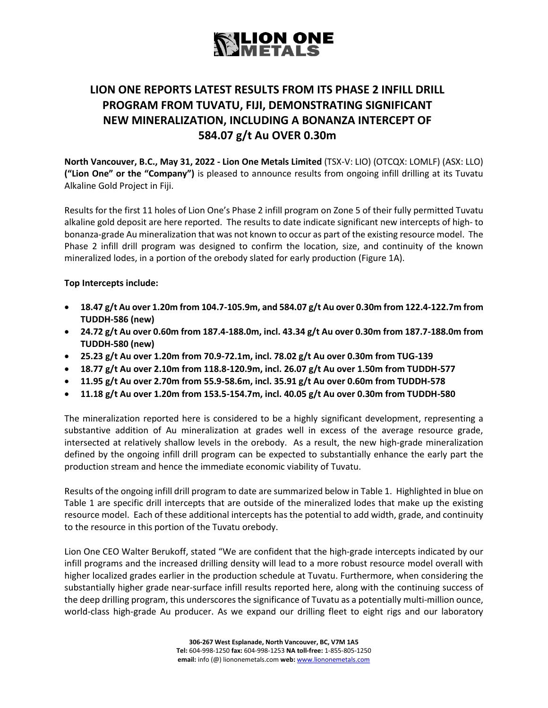### **SLION ONE**<br>NMETALS

### **LION ONE REPORTS LATEST RESULTS FROM ITS PHASE 2 INFILL DRILL PROGRAM FROM TUVATU, FIJI, DEMONSTRATING SIGNIFICANT NEW MINERALIZATION, INCLUDING A BONANZA INTERCEPT OF 584.07 g/t Au OVER 0.30m**

**North Vancouver, B.C., May 31, 2022 - Lion One Metals Limited** (TSX-V: LIO) (OTCQX: LOMLF) (ASX: LLO) **("Lion One" or the "Company")** is pleased to announce results from ongoing infill drilling at its Tuvatu Alkaline Gold Project in Fiji.

Results for the first 11 holes of Lion One's Phase 2 infill program on Zone 5 of their fully permitted Tuvatu alkaline gold deposit are here reported. The results to date indicate significant new intercepts of high- to bonanza-grade Au mineralization that was not known to occur as part of the existing resource model. The Phase 2 infill drill program was designed to confirm the location, size, and continuity of the known mineralized lodes, in a portion of the orebody slated for early production (Figure 1A).

#### **Top Intercepts include:**

- **18.47 g/t Au over 1.20m from 104.7-105.9m, and 584.07 g/t Au over 0.30m from 122.4-122.7m from TUDDH-586 (new)**
- **24.72 g/t Au over 0.60m from 187.4-188.0m, incl. 43.34 g/t Au over 0.30m from 187.7-188.0m from TUDDH-580 (new)**
- **25.23 g/t Au over 1.20m from 70.9-72.1m, incl. 78.02 g/t Au over 0.30m from TUG-139**
- **18.77 g/t Au over 2.10m from 118.8-120.9m, incl. 26.07 g/t Au over 1.50m from TUDDH-577**
- **11.95 g/t Au over 2.70m from 55.9-58.6m, incl. 35.91 g/t Au over 0.60m from TUDDH-578**
- **11.18 g/t Au over 1.20m from 153.5-154.7m, incl. 40.05 g/t Au over 0.30m from TUDDH-580**

The mineralization reported here is considered to be a highly significant development, representing a substantive addition of Au mineralization at grades well in excess of the average resource grade, intersected at relatively shallow levels in the orebody. As a result, the new high-grade mineralization defined by the ongoing infill drill program can be expected to substantially enhance the early part the production stream and hence the immediate economic viability of Tuvatu.

Results of the ongoing infill drill program to date are summarized below in Table 1. Highlighted in blue on Table 1 are specific drill intercepts that are outside of the mineralized lodes that make up the existing resource model. Each of these additional intercepts has the potential to add width, grade, and continuity to the resource in this portion of the Tuvatu orebody.

Lion One CEO Walter Berukoff, stated "We are confident that the high-grade intercepts indicated by our infill programs and the increased drilling density will lead to a more robust resource model overall with higher localized grades earlier in the production schedule at Tuvatu. Furthermore, when considering the substantially higher grade near-surface infill results reported here, along with the continuing success of the deep drilling program, this underscores the significance of Tuvatu as a potentially multi-million ounce, world-class high-grade Au producer. As we expand our drilling fleet to eight rigs and our laboratory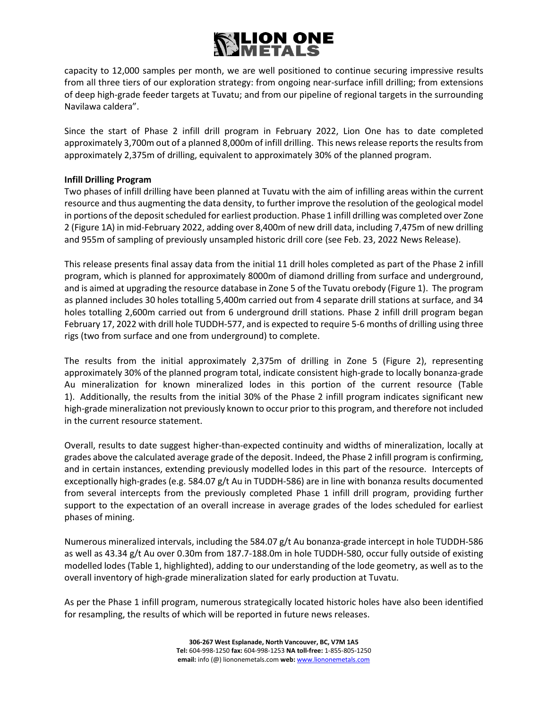## LION ONE

capacity to 12,000 samples per month, we are well positioned to continue securing impressive results from all three tiers of our exploration strategy: from ongoing near-surface infill drilling; from extensions of deep high-grade feeder targets at Tuvatu; and from our pipeline of regional targets in the surrounding Navilawa caldera".

Since the start of Phase 2 infill drill program in February 2022, Lion One has to date completed approximately 3,700m out of a planned 8,000m of infill drilling. This news release reports the results from approximately 2,375m of drilling, equivalent to approximately 30% of the planned program.

#### **Infill Drilling Program**

Two phases of infill drilling have been planned at Tuvatu with the aim of infilling areas within the current resource and thus augmenting the data density, to further improve the resolution of the geological model in portions of the deposit scheduled for earliest production. Phase 1 infill drilling was completed over Zone 2 (Figure 1A) in mid-February 2022, adding over 8,400m of new drill data, including 7,475m of new drilling and 955m of sampling of previously unsampled historic drill core (see Feb. 23, 2022 News Release).

This release presents final assay data from the initial 11 drill holes completed as part of the Phase 2 infill program, which is planned for approximately 8000m of diamond drilling from surface and underground, and is aimed at upgrading the resource database in Zone 5 of the Tuvatu orebody (Figure 1). The program as planned includes 30 holes totalling 5,400m carried out from 4 separate drill stations at surface, and 34 holes totalling 2,600m carried out from 6 underground drill stations. Phase 2 infill drill program began February 17, 2022 with drill hole TUDDH-577, and is expected to require 5-6 months of drilling using three rigs (two from surface and one from underground) to complete.

The results from the initial approximately 2,375m of drilling in Zone 5 (Figure 2), representing approximately 30% of the planned program total, indicate consistent high-grade to locally bonanza-grade Au mineralization for known mineralized lodes in this portion of the current resource (Table 1). Additionally, the results from the initial 30% of the Phase 2 infill program indicates significant new high-grade mineralization not previously known to occur prior to this program, and therefore not included in the current resource statement.

Overall, results to date suggest higher-than-expected continuity and widths of mineralization, locally at grades above the calculated average grade of the deposit. Indeed, the Phase 2 infill program is confirming, and in certain instances, extending previously modelled lodes in this part of the resource. Intercepts of exceptionally high-grades (e.g. 584.07 g/t Au in TUDDH-586) are in line with bonanza results documented from several intercepts from the previously completed Phase 1 infill drill program, providing further support to the expectation of an overall increase in average grades of the lodes scheduled for earliest phases of mining.

Numerous mineralized intervals, including the 584.07 g/t Au bonanza-grade intercept in hole TUDDH-586 as well as 43.34 g/t Au over 0.30m from 187.7-188.0m in hole TUDDH-580, occur fully outside of existing modelled lodes (Table 1, highlighted), adding to our understanding of the lode geometry, as well as to the overall inventory of high-grade mineralization slated for early production at Tuvatu.

As per the Phase 1 infill program, numerous strategically located historic holes have also been identified for resampling, the results of which will be reported in future news releases.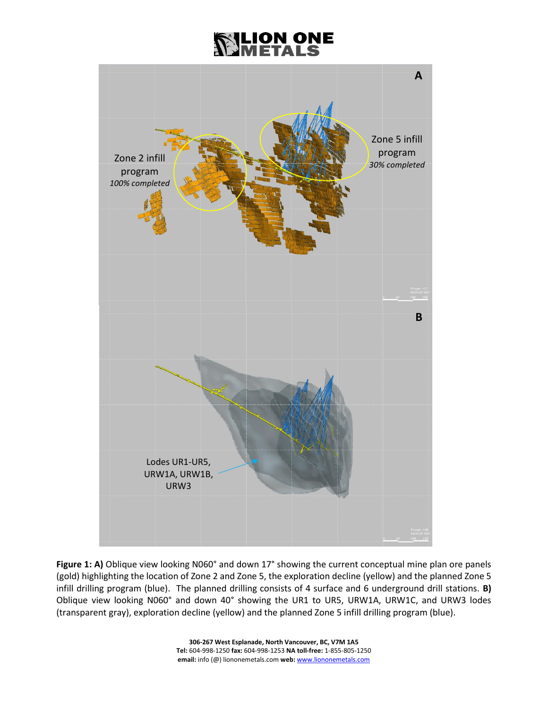### LION ONE



**Figure 1: A)** Oblique view looking N060° and down 17° showing the current conceptual mine plan ore panels (gold) highlighting the location of Zone 2 and Zone 5, the exploration decline (yellow) and the planned Zone 5 infill drilling program (blue). The planned drilling consists of 4 surface and 6 underground drill stations. **B)** Oblique view looking N060° and down 40° showing the UR1 to UR5, URW1A, URW1C, and URW3 lodes (transparent gray), exploration decline (yellow) and the planned Zone 5 infill drilling program (blue).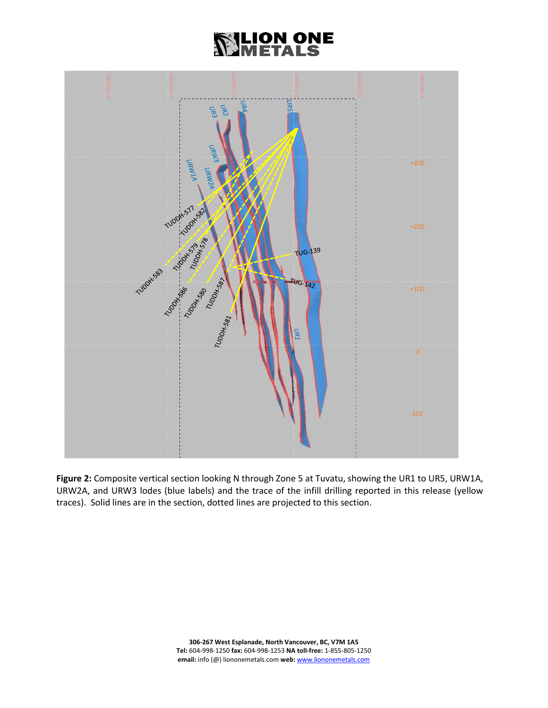### **XILION ONE<br>RIMETALS**



**Figure 2:** Composite vertical section looking N through Zone 5 at Tuvatu, showing the UR1 to UR5, URW1A, URW2A, and URW3 lodes (blue labels) and the trace of the infill drilling reported in this release (yellow traces). Solid lines are in the section, dotted lines are projected to this section.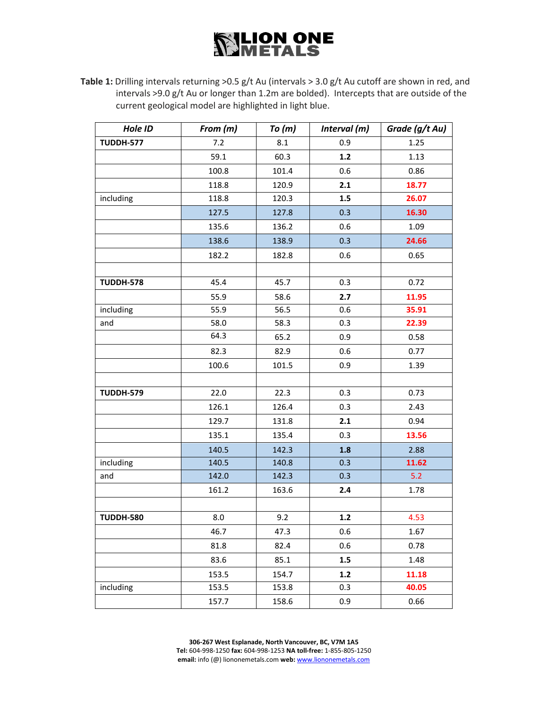Table 1: Drilling intervals returning >0.5 g/t Au (intervals > 3.0 g/t Au cutoff are shown in red, and intervals >9.0 g/t Au or longer than 1.2m are bolded). Intercepts that are outside of the current geological model are highlighted in light blue.

| Hole ID          | From (m) | To(m) | Interval (m) | Grade (g/t Au) |  |
|------------------|----------|-------|--------------|----------------|--|
| <b>TUDDH-577</b> | 7.2      | 8.1   | 0.9          | 1.25           |  |
|                  | 59.1     | 60.3  | $1.2$        | 1.13           |  |
|                  | 100.8    | 101.4 | 0.6          | 0.86           |  |
|                  | 118.8    | 120.9 | 2.1          | 18.77          |  |
| including        | 118.8    | 120.3 | $1.5\,$      | 26.07          |  |
|                  | 127.5    | 127.8 | 0.3          | 16.30          |  |
|                  | 135.6    | 136.2 | 0.6          | 1.09           |  |
|                  | 138.6    | 138.9 | 0.3          | 24.66          |  |
|                  | 182.2    | 182.8 | 0.6          | 0.65           |  |
|                  |          |       |              |                |  |
| <b>TUDDH-578</b> | 45.4     | 45.7  | 0.3          | 0.72           |  |
|                  | 55.9     | 58.6  | 2.7          | 11.95          |  |
| including        | 55.9     | 56.5  | 0.6          | 35.91          |  |
| and              | 58.0     | 58.3  | 0.3          | 22.39          |  |
|                  | 64.3     | 65.2  | 0.9          | 0.58           |  |
|                  | 82.3     | 82.9  | 0.6          | 0.77           |  |
|                  | 100.6    | 101.5 | 0.9          | 1.39           |  |
|                  |          |       |              |                |  |
| <b>TUDDH-579</b> | 22.0     | 22.3  | 0.3          | 0.73           |  |
|                  | 126.1    | 126.4 | 0.3          | 2.43           |  |
|                  | 129.7    | 131.8 | 2.1          | 0.94           |  |
|                  | 135.1    | 135.4 | 0.3          | 13.56          |  |
|                  | 140.5    | 142.3 | 1.8          | 2.88           |  |
| including        | 140.5    | 140.8 | 0.3          | 11.62          |  |
| and              | 142.0    | 142.3 | 0.3          | 5.2            |  |
|                  | 161.2    | 163.6 | 2.4          | 1.78           |  |
|                  |          |       |              |                |  |
| <b>TUDDH-580</b> | 8.0      | 9.2   | $1.2$        | 4.53           |  |
|                  | 46.7     | 47.3  | 0.6          | 1.67           |  |
|                  | 81.8     | 82.4  | 0.6          | 0.78           |  |
|                  | 83.6     | 85.1  | 1.5          | 1.48           |  |
|                  | 153.5    | 154.7 | $1.2$        | 11.18          |  |
| including        | 153.5    | 153.8 | 0.3          | 40.05          |  |
|                  | 157.7    | 158.6 | 0.9          | 0.66           |  |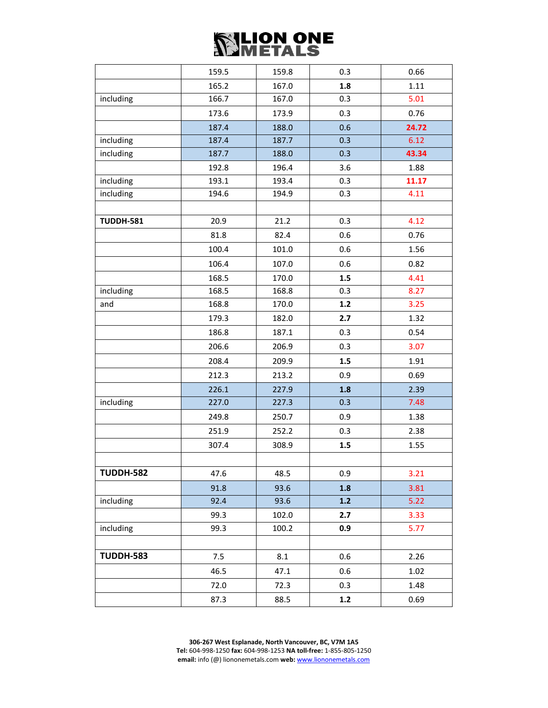|                  | 159.5 | 159.8 | 0.3   | 0.66  |  |
|------------------|-------|-------|-------|-------|--|
|                  | 165.2 | 167.0 | 1.8   | 1.11  |  |
| including        | 166.7 | 167.0 | 0.3   | 5.01  |  |
|                  | 173.6 | 173.9 | 0.3   | 0.76  |  |
|                  | 187.4 | 188.0 | 0.6   | 24.72 |  |
| including        | 187.4 | 187.7 | 0.3   | 6.12  |  |
| including        | 187.7 | 188.0 | 0.3   | 43.34 |  |
|                  | 192.8 | 196.4 | 3.6   | 1.88  |  |
| including        | 193.1 | 193.4 | 0.3   | 11.17 |  |
| including        | 194.6 | 194.9 | 0.3   | 4.11  |  |
|                  |       |       |       |       |  |
| <b>TUDDH-581</b> | 20.9  | 21.2  | 0.3   | 4.12  |  |
|                  | 81.8  | 82.4  | 0.6   | 0.76  |  |
|                  | 100.4 | 101.0 | 0.6   | 1.56  |  |
|                  | 106.4 | 107.0 | 0.6   | 0.82  |  |
|                  | 168.5 | 170.0 | 1.5   | 4.41  |  |
| including        | 168.5 | 168.8 | 0.3   | 8.27  |  |
| and              | 168.8 | 170.0 | $1.2$ | 3.25  |  |
|                  | 179.3 | 182.0 | 2.7   | 1.32  |  |
|                  | 186.8 | 187.1 | 0.3   | 0.54  |  |
|                  | 206.6 | 206.9 | 0.3   | 3.07  |  |
|                  | 208.4 | 209.9 | 1.5   | 1.91  |  |
|                  | 212.3 | 213.2 | 0.9   | 0.69  |  |
|                  | 226.1 | 227.9 | 1.8   | 2.39  |  |
| including        | 227.0 | 227.3 | 0.3   | 7.48  |  |
|                  | 249.8 | 250.7 | 0.9   | 1.38  |  |
|                  | 251.9 | 252.2 | 0.3   | 2.38  |  |
|                  | 307.4 | 308.9 | 1.5   | 1.55  |  |
|                  |       |       |       |       |  |
| <b>TUDDH-582</b> | 47.6  | 48.5  | 0.9   | 3.21  |  |
|                  | 91.8  | 93.6  | 1.8   | 3.81  |  |
| including        | 92.4  | 93.6  | $1.2$ | 5.22  |  |
|                  | 99.3  | 102.0 | 2.7   | 3.33  |  |
| including        | 99.3  | 100.2 | 0.9   | 5.77  |  |
|                  |       |       |       |       |  |
| <b>TUDDH-583</b> | 7.5   | 8.1   | 0.6   | 2.26  |  |
|                  | 46.5  | 47.1  | 0.6   | 1.02  |  |
|                  | 72.0  | 72.3  | 0.3   | 1.48  |  |
|                  | 87.3  | 88.5  | $1.2$ | 0.69  |  |

**306-267 West Esplanade, North Vancouver, BC, V7M 1A5 Tel:** 604-998-1250 **fax:** 604-998-1253 **NA toll-free:** 1-855-805-1250 **email:** info (@) liononemetals.com **web:** [www.liononemetals.com](http://www.liononemetals.com/)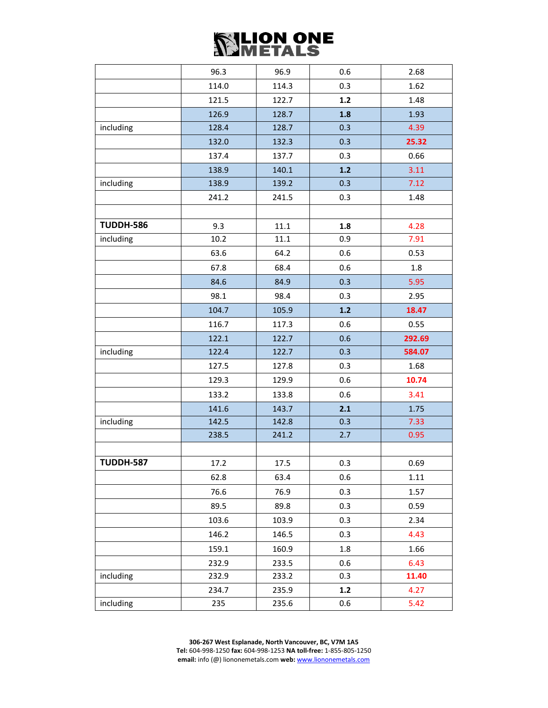|                  | 96.3  | 96.9  | 0.6   | 2.68         |  |
|------------------|-------|-------|-------|--------------|--|
|                  | 114.0 | 114.3 | 0.3   | 1.62         |  |
|                  | 121.5 | 122.7 | $1.2$ | 1.48         |  |
|                  | 126.9 | 128.7 | 1.8   | 1.93         |  |
| including        | 128.4 | 128.7 | 0.3   | 4.39         |  |
|                  | 132.0 | 132.3 | 0.3   | 25.32        |  |
|                  | 137.4 | 137.7 | 0.3   | 0.66         |  |
|                  | 138.9 | 140.1 | $1.2$ | 3.11         |  |
| including        | 138.9 | 139.2 | 0.3   | 7.12<br>1.48 |  |
|                  | 241.2 | 241.5 | 0.3   |              |  |
|                  |       |       |       |              |  |
| <b>TUDDH-586</b> | 9.3   | 11.1  | 1.8   | 4.28         |  |
| including        | 10.2  | 11.1  | 0.9   | 7.91         |  |
|                  | 63.6  | 64.2  | 0.6   | 0.53         |  |
|                  | 67.8  | 68.4  | 0.6   | 1.8          |  |
|                  | 84.6  | 84.9  | 0.3   | 5.95         |  |
|                  | 98.1  | 98.4  | 0.3   | 2.95         |  |
|                  | 104.7 | 105.9 | $1.2$ | 18.47        |  |
|                  | 116.7 | 117.3 | 0.6   | 0.55         |  |
|                  | 122.1 | 122.7 | 0.6   | 292.69       |  |
| including        | 122.4 | 122.7 | 0.3   | 584.07       |  |
|                  | 127.5 | 127.8 | 0.3   | 1.68         |  |
|                  | 129.3 | 129.9 | 0.6   | 10.74        |  |
|                  | 133.2 | 133.8 | 0.6   | 3.41         |  |
|                  | 141.6 | 143.7 | 2.1   | 1.75         |  |
| including        | 142.5 | 142.8 | 0.3   | 7.33         |  |
|                  | 238.5 | 241.2 | 2.7   | 0.95         |  |
|                  |       |       |       |              |  |
| <b>TUDDH-587</b> | 17.2  | 17.5  | 0.3   | 0.69         |  |
|                  | 62.8  | 63.4  | 0.6   | 1.11         |  |
|                  | 76.6  | 76.9  | 0.3   | 1.57         |  |
|                  | 89.5  | 89.8  | 0.3   | 0.59         |  |
|                  | 103.6 | 103.9 | 0.3   | 2.34         |  |
|                  | 146.2 | 146.5 | 0.3   | 4.43         |  |
|                  | 159.1 | 160.9 | 1.8   | 1.66         |  |
|                  | 232.9 | 233.5 | 0.6   | 6.43         |  |
| including        | 232.9 | 233.2 | 0.3   | 11.40        |  |
|                  | 234.7 | 235.9 | 1.2   | 4.27         |  |
| including        | 235   | 235.6 | 0.6   | 5.42         |  |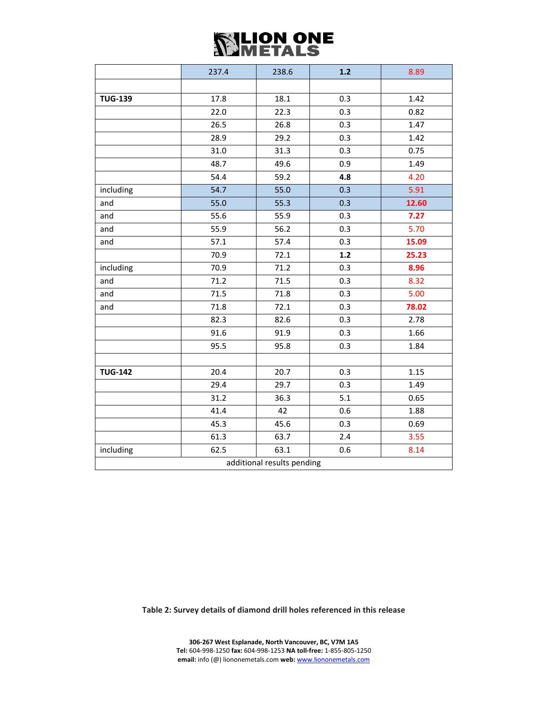|                            | 237.4 | 238.6 | $1.2$ | 8.89  |  |  |
|----------------------------|-------|-------|-------|-------|--|--|
|                            |       |       |       |       |  |  |
| <b>TUG-139</b>             | 17.8  | 18.1  | 0.3   | 1.42  |  |  |
|                            | 22.0  | 22.3  | 0.3   | 0.82  |  |  |
|                            | 26.5  | 26.8  | 0.3   | 1.47  |  |  |
|                            | 28.9  | 29.2  | 0.3   | 1.42  |  |  |
|                            | 31.0  | 31.3  | 0.3   | 0.75  |  |  |
|                            | 48.7  | 49.6  | 0.9   | 1.49  |  |  |
|                            | 54.4  | 59.2  | 4.8   | 4.20  |  |  |
| including                  | 54.7  | 55.0  | 0.3   | 5.91  |  |  |
| and                        | 55.0  | 55.3  | 0.3   | 12.60 |  |  |
| and                        | 55.6  | 55.9  | 0.3   | 7.27  |  |  |
| and                        | 55.9  | 56.2  | 0.3   | 5.70  |  |  |
| and                        | 57.1  | 57.4  | 0.3   | 15.09 |  |  |
|                            | 70.9  | 72.1  | $1.2$ | 25.23 |  |  |
| including                  | 70.9  | 71.2  | 0.3   | 8.96  |  |  |
| and                        | 71.2  | 71.5  | 0.3   | 8.32  |  |  |
| and                        | 71.5  | 71.8  | 0.3   | 5.00  |  |  |
| and                        | 71.8  | 72.1  | 0.3   | 78.02 |  |  |
|                            | 82.3  | 82.6  | 0.3   | 2.78  |  |  |
|                            | 91.6  | 91.9  | 0.3   | 1.66  |  |  |
|                            | 95.5  | 95.8  | 0.3   | 1.84  |  |  |
|                            |       |       |       |       |  |  |
| <b>TUG-142</b>             | 20.4  | 20.7  | 0.3   | 1.15  |  |  |
|                            | 29.4  | 29.7  | 0.3   | 1.49  |  |  |
|                            | 31.2  | 36.3  | 5.1   | 0.65  |  |  |
|                            | 41.4  | 42    | 0.6   | 1.88  |  |  |
|                            | 45.3  | 45.6  | 0.3   | 0.69  |  |  |
|                            | 61.3  | 63.7  | 2.4   | 3.55  |  |  |
| including                  | 62.5  | 63.1  | 0.6   | 8.14  |  |  |
| additional results pending |       |       |       |       |  |  |

**Table 2: Survey details of diamond drill holes referenced in this release**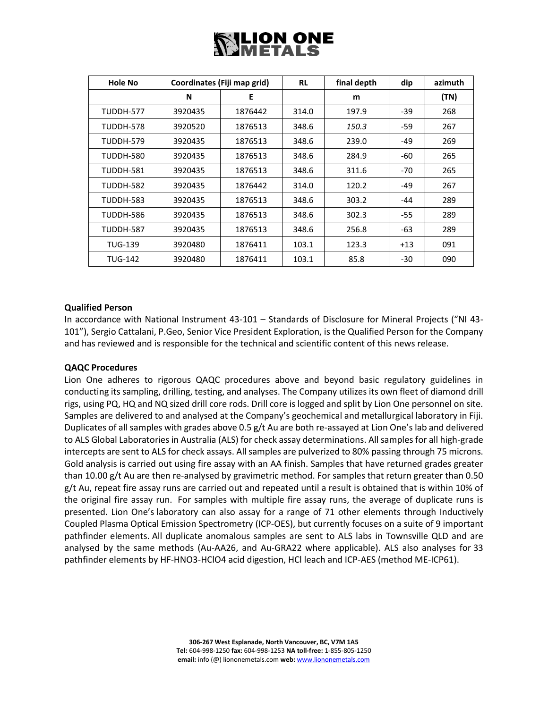# ∜LION ONE<br>∀METALS

| <b>Hole No</b>   | Coordinates (Fiji map grid) |         | <b>RL</b> | final depth | dip   | azimuth |
|------------------|-----------------------------|---------|-----------|-------------|-------|---------|
|                  | N                           | Е       |           | m           |       | (TN)    |
| TUDDH-577        | 3920435                     | 1876442 | 314.0     | 197.9       | -39   | 268     |
| TUDDH-578        | 3920520                     | 1876513 | 348.6     | 150.3       | -59   | 267     |
| <b>TUDDH-579</b> | 3920435                     | 1876513 | 348.6     | 239.0       | $-49$ | 269     |
| <b>TUDDH-580</b> | 3920435                     | 1876513 | 348.6     | 284.9       | -60   | 265     |
| TUDDH-581        | 3920435                     | 1876513 | 348.6     | 311.6       | -70   | 265     |
| <b>TUDDH-582</b> | 3920435                     | 1876442 | 314.0     | 120.2       | -49   | 267     |
| <b>TUDDH-583</b> | 3920435                     | 1876513 | 348.6     | 303.2       | -44   | 289     |
| TUDDH-586        | 3920435                     | 1876513 | 348.6     | 302.3       | $-55$ | 289     |
| <b>TUDDH-587</b> | 3920435                     | 1876513 | 348.6     | 256.8       | -63   | 289     |
| <b>TUG-139</b>   | 3920480                     | 1876411 | 103.1     | 123.3       | $+13$ | 091     |
| <b>TUG-142</b>   | 3920480                     | 1876411 | 103.1     | 85.8        | -30   | 090     |

#### **Qualified Person**

In accordance with National Instrument 43-101 – Standards of Disclosure for Mineral Projects ("NI 43- 101"), Sergio Cattalani, P.Geo, Senior Vice President Exploration, is the Qualified Person for the Company and has reviewed and is responsible for the technical and scientific content of this news release.

#### **QAQC Procedures**

Lion One adheres to rigorous QAQC procedures above and beyond basic regulatory guidelines in conducting its sampling, drilling, testing, and analyses. The Company utilizes its own fleet of diamond drill rigs, using PQ, HQ and NQ sized drill core rods. Drill core is logged and split by Lion One personnel on site. Samples are delivered to and analysed at the Company's geochemical and metallurgical laboratory in Fiji. Duplicates of all samples with grades above 0.5 g/t Au are both re-assayed at Lion One's lab and delivered to ALS Global Laboratories in Australia (ALS) for check assay determinations. All samples for all high-grade intercepts are sent to ALS for check assays. All samples are pulverized to 80% passing through 75 microns. Gold analysis is carried out using fire assay with an AA finish. Samples that have returned grades greater than 10.00 g/t Au are then re-analysed by gravimetric method. For samples that return greater than 0.50 g/t Au, repeat fire assay runs are carried out and repeated until a result is obtained that is within 10% of the original fire assay run. For samples with multiple fire assay runs, the average of duplicate runs is presented. Lion One's laboratory can also assay for a range of 71 other elements through Inductively Coupled Plasma Optical Emission Spectrometry (ICP-OES), but currently focuses on a suite of 9 important pathfinder elements. All duplicate anomalous samples are sent to ALS labs in Townsville QLD and are analysed by the same methods (Au-AA26, and Au-GRA22 where applicable). ALS also analyses for 33 pathfinder elements by HF-HNO3-HClO4 acid digestion, HCl leach and ICP-AES (method ME-ICP61).